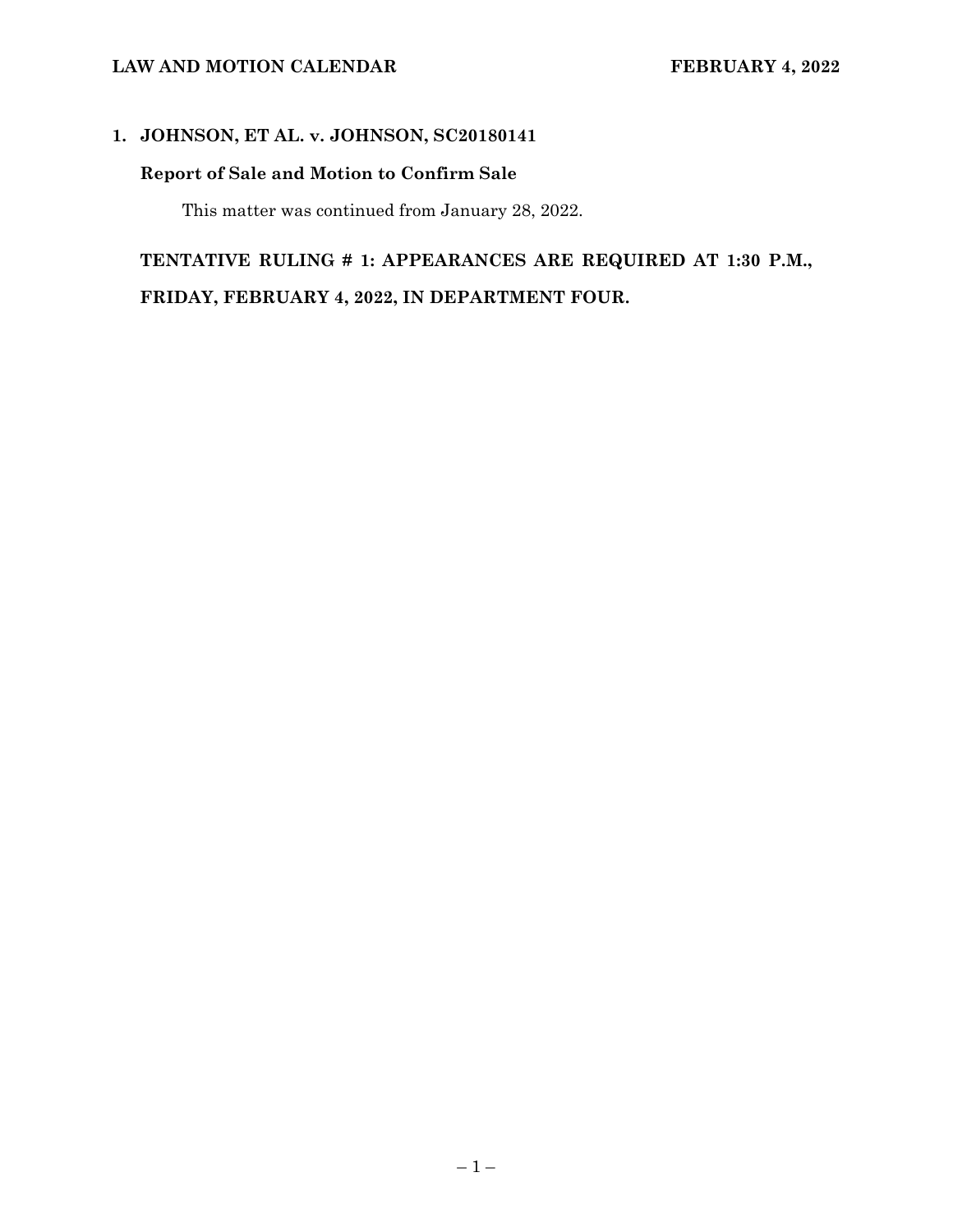#### LAW AND MOTION CALENDAR **FEBRUARY 4, 2022**

## **1. JOHNSON, ET AL. v. JOHNSON, SC20180141**

# **Report of Sale and Motion to Confirm Sale**

This matter was continued from January 28, 2022.

# **TENTATIVE RULING # 1: APPEARANCES ARE REQUIRED AT 1:30 P.M., FRIDAY, FEBRUARY 4, 2022, IN DEPARTMENT FOUR.**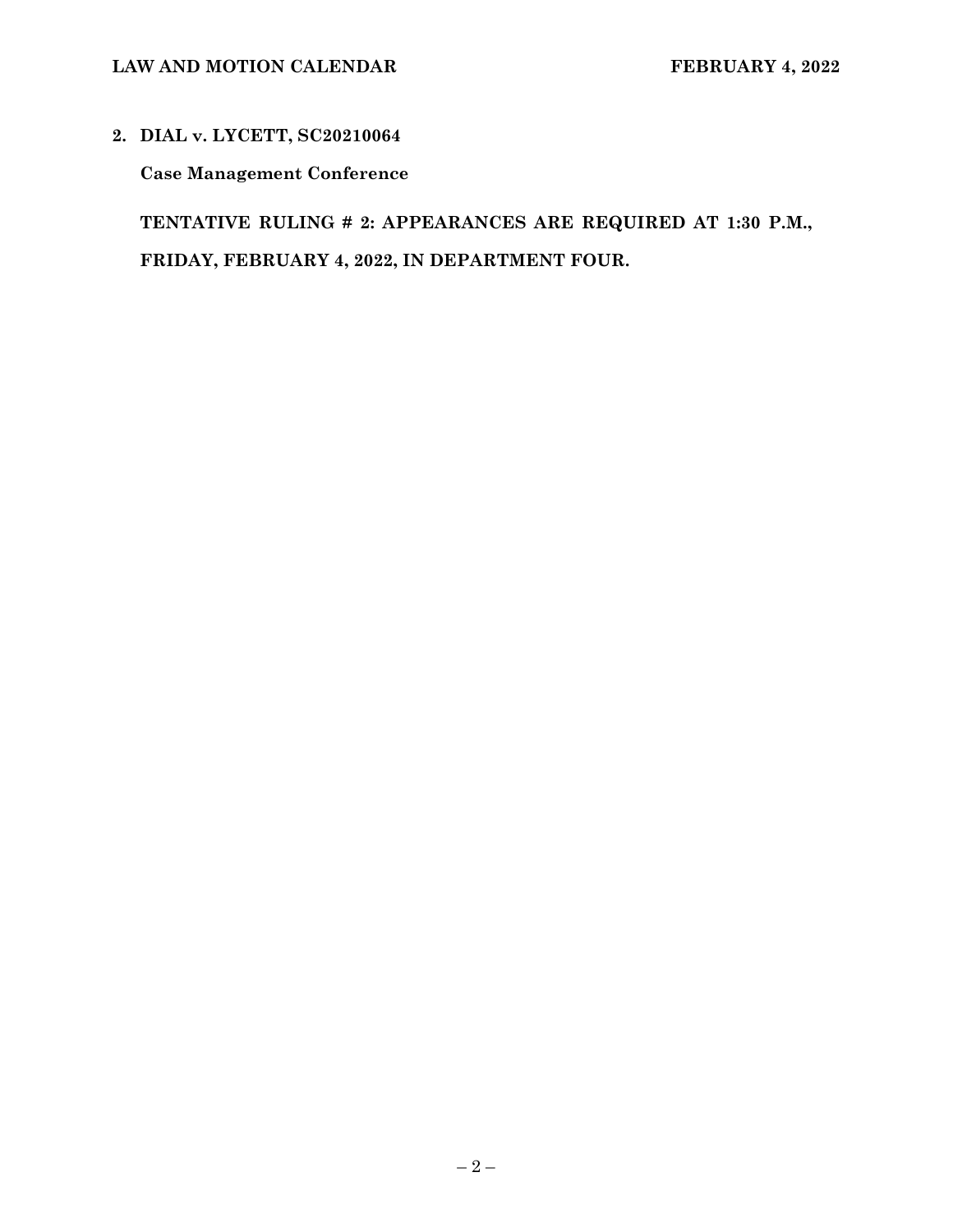# **2. DIAL v. LYCETT, SC20210064**

**Case Management Conference** 

**TENTATIVE RULING # 2: APPEARANCES ARE REQUIRED AT 1:30 P.M., FRIDAY, FEBRUARY 4, 2022, IN DEPARTMENT FOUR.**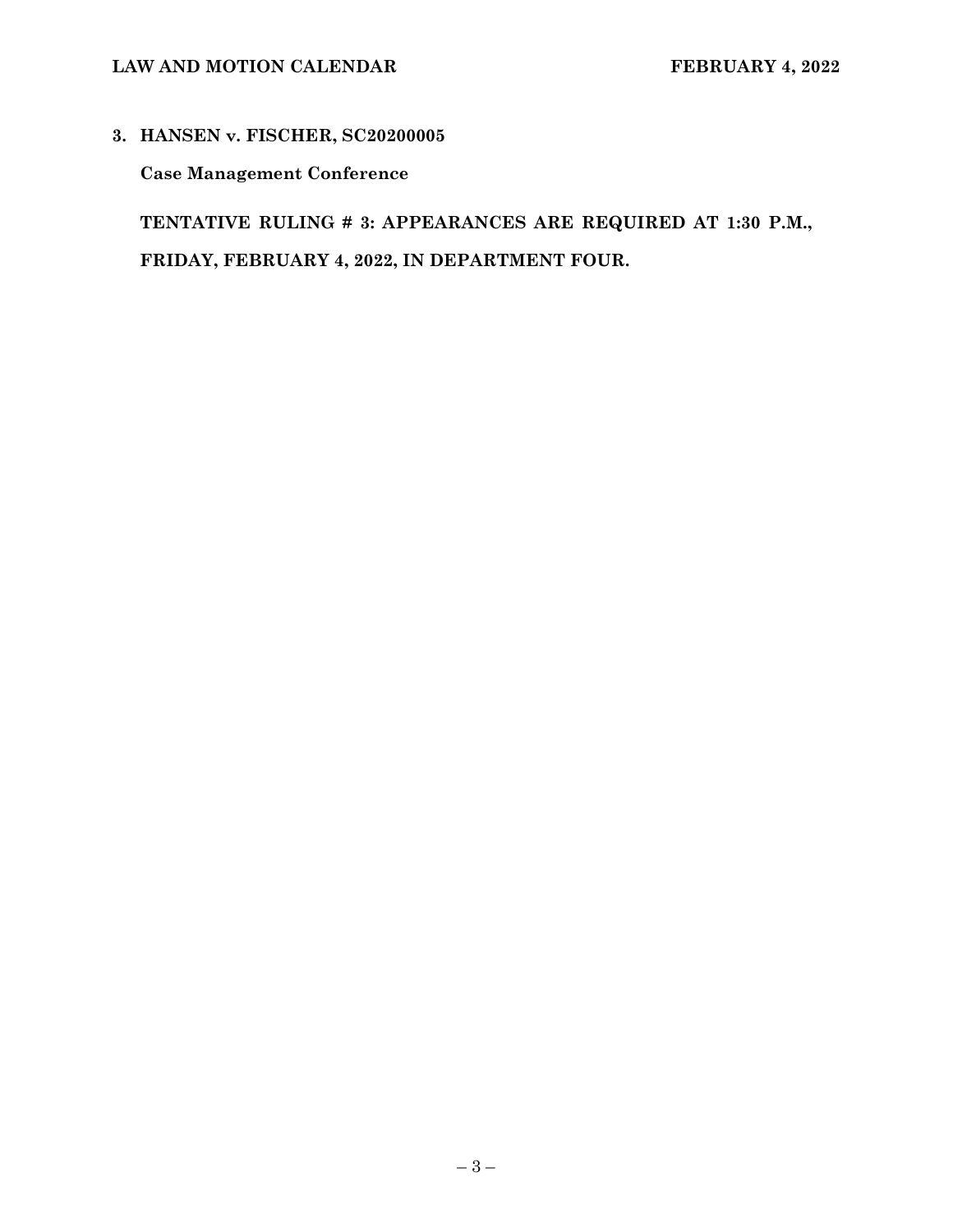# LAW AND MOTION CALENDAR **FEBRUARY 4, 2022**

### **3. HANSEN v. FISCHER, SC20200005**

**Case Management Conference** 

**TENTATIVE RULING # 3: APPEARANCES ARE REQUIRED AT 1:30 P.M., FRIDAY, FEBRUARY 4, 2022, IN DEPARTMENT FOUR.**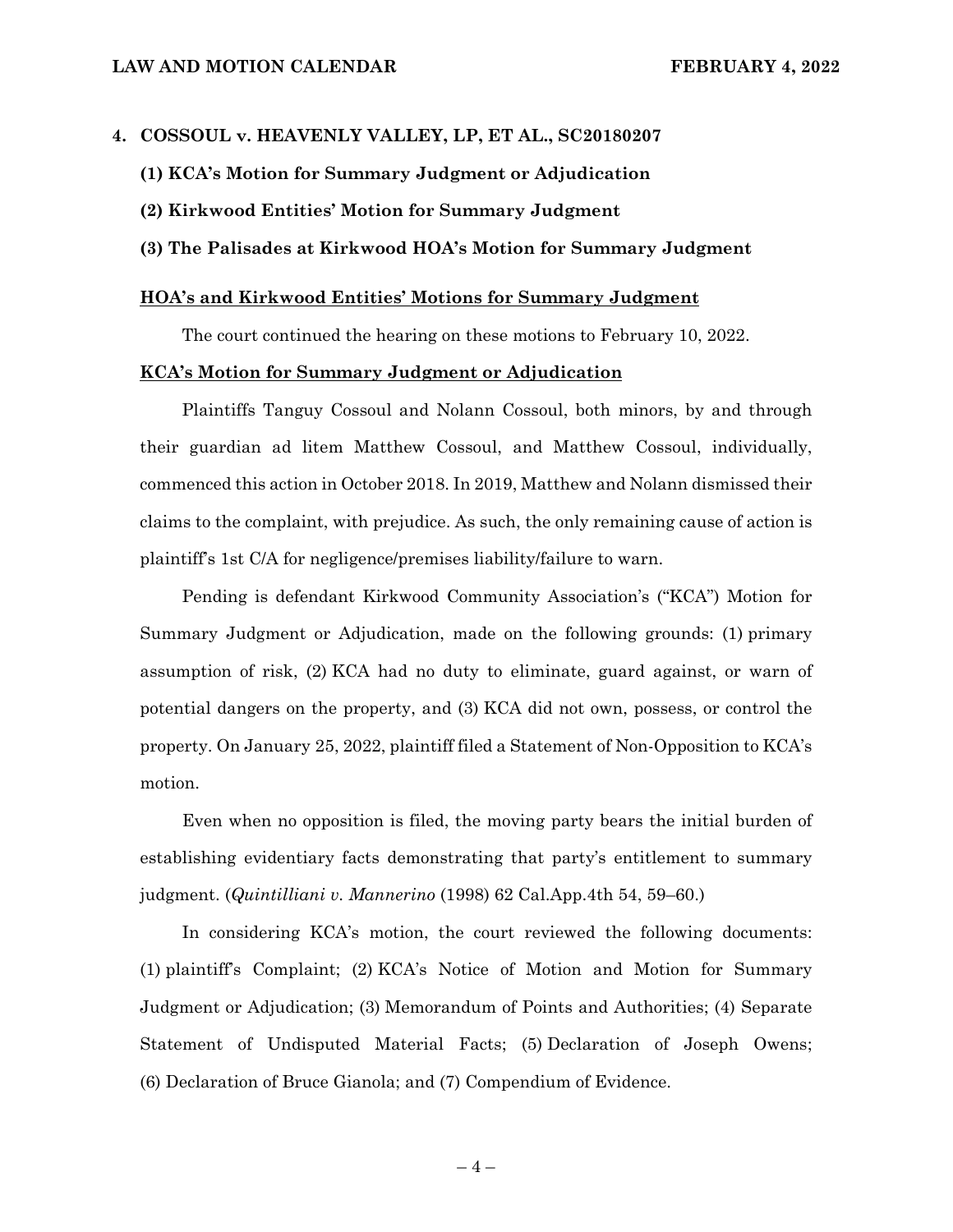#### **4. COSSOUL v. HEAVENLY VALLEY, LP, ET AL., SC20180207**

- **(1) KCA's Motion for Summary Judgment or Adjudication**
- **(2) Kirkwood Entities' Motion for Summary Judgment**

#### **(3) The Palisades at Kirkwood HOA's Motion for Summary Judgment**

#### **HOA's and Kirkwood Entities' Motions for Summary Judgment**

The court continued the hearing on these motions to February 10, 2022.

#### **KCA's Motion for Summary Judgment or Adjudication**

Plaintiffs Tanguy Cossoul and Nolann Cossoul, both minors, by and through their guardian ad litem Matthew Cossoul, and Matthew Cossoul, individually, commenced this action in October 2018. In 2019, Matthew and Nolann dismissed their claims to the complaint, with prejudice. As such, the only remaining cause of action is plaintiff's 1st C/A for negligence/premises liability/failure to warn.

Pending is defendant Kirkwood Community Association's ("KCA") Motion for Summary Judgment or Adjudication, made on the following grounds: (1) primary assumption of risk, (2) KCA had no duty to eliminate, guard against, or warn of potential dangers on the property, and (3) KCA did not own, possess, or control the property. On January 25, 2022, plaintiff filed a Statement of Non-Opposition to KCA's motion.

Even when no opposition is filed, the moving party bears the initial burden of establishing evidentiary facts demonstrating that party's entitlement to summary judgment. (*Quintilliani v. Mannerino* (1998) 62 Cal.App.4th 54, 59–60.)

In considering KCA's motion, the court reviewed the following documents: (1) plaintiff's Complaint; (2) KCA's Notice of Motion and Motion for Summary Judgment or Adjudication; (3) Memorandum of Points and Authorities; (4) Separate Statement of Undisputed Material Facts; (5) Declaration of Joseph Owens; (6) Declaration of Bruce Gianola; and (7) Compendium of Evidence.